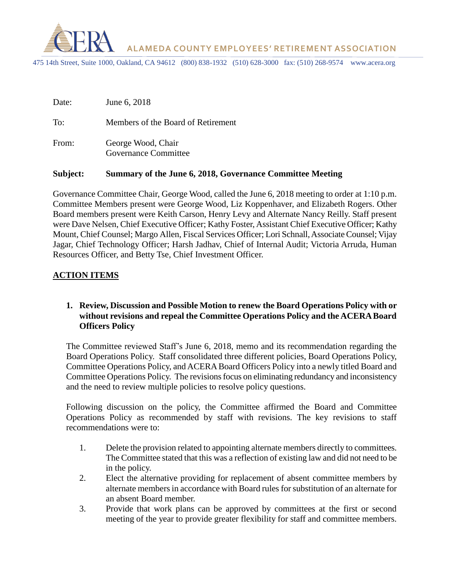

 **ALAMEDA COUNTY EMPLOYEES' RETIREMENT ASSOCIATION**

475 14th Street, Suite 1000, Oakland, CA 94612 (800) 838-1932 (510) 628-3000 fax: (510) 268-9574 www.acera.org

| Date: | June 6, 2018                               |
|-------|--------------------------------------------|
| To:   | Members of the Board of Retirement         |
| From: | George Wood, Chair<br>Governance Committee |

#### **Subject: Summary of the June 6, 2018, Governance Committee Meeting**

Governance Committee Chair, George Wood, called the June 6, 2018 meeting to order at 1:10 p.m. Committee Members present were George Wood, Liz Koppenhaver, and Elizabeth Rogers. Other Board members present were Keith Carson, Henry Levy and Alternate Nancy Reilly. Staff present were Dave Nelsen, Chief Executive Officer; Kathy Foster, Assistant Chief Executive Officer; Kathy Mount, Chief Counsel; Margo Allen, Fiscal Services Officer; Lori Schnall, Associate Counsel; Vijay Jagar, Chief Technology Officer; Harsh Jadhav, Chief of Internal Audit; Victoria Arruda, Human Resources Officer, and Betty Tse, Chief Investment Officer.

### **ACTION ITEMS**

## **1. Review, Discussion and Possible Motion to renew the Board Operations Policy with or without revisions and repeal the Committee Operations Policy and the ACERA Board Officers Policy**

The Committee reviewed Staff's June 6, 2018, memo and its recommendation regarding the Board Operations Policy. Staff consolidated three different policies, Board Operations Policy, Committee Operations Policy, and ACERA Board Officers Policy into a newly titled Board and Committee Operations Policy. The revisions focus on eliminating redundancy and inconsistency and the need to review multiple policies to resolve policy questions.

Following discussion on the policy, the Committee affirmed the Board and Committee Operations Policy as recommended by staff with revisions. The key revisions to staff recommendations were to:

- 1. Delete the provision related to appointing alternate members directly to committees. The Committee stated that this was a reflection of existing law and did not need to be in the policy.
- 2. Elect the alternative providing for replacement of absent committee members by alternate members in accordance with Board rules for substitution of an alternate for an absent Board member.
- 3. Provide that work plans can be approved by committees at the first or second meeting of the year to provide greater flexibility for staff and committee members.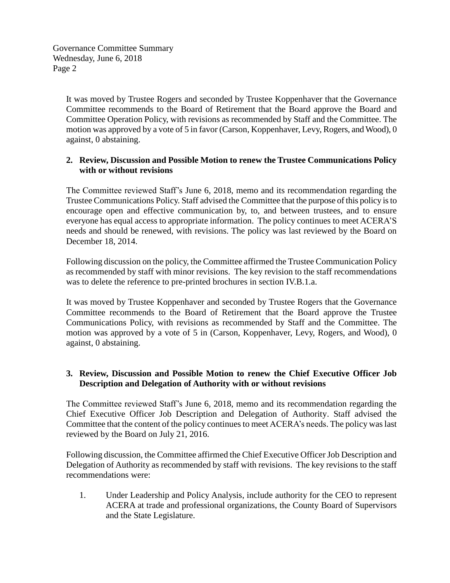Governance Committee Summary Wednesday, June 6, 2018 Page 2

> It was moved by Trustee Rogers and seconded by Trustee Koppenhaver that the Governance Committee recommends to the Board of Retirement that the Board approve the Board and Committee Operation Policy, with revisions as recommended by Staff and the Committee. The motion was approved by a vote of 5 in favor (Carson, Koppenhaver, Levy, Rogers, and Wood), 0 against, 0 abstaining.

## **2. Review, Discussion and Possible Motion to renew the Trustee Communications Policy with or without revisions**

The Committee reviewed Staff's June 6, 2018, memo and its recommendation regarding the Trustee Communications Policy. Staff advised the Committee that the purpose of this policy is to encourage open and effective communication by, to, and between trustees, and to ensure everyone has equal access to appropriate information. The policy continues to meet ACERA'S needs and should be renewed, with revisions. The policy was last reviewed by the Board on December 18, 2014.

Following discussion on the policy, the Committee affirmed the Trustee Communication Policy as recommended by staff with minor revisions. The key revision to the staff recommendations was to delete the reference to pre-printed brochures in section IV.B.1.a.

It was moved by Trustee Koppenhaver and seconded by Trustee Rogers that the Governance Committee recommends to the Board of Retirement that the Board approve the Trustee Communications Policy, with revisions as recommended by Staff and the Committee. The motion was approved by a vote of 5 in (Carson, Koppenhaver, Levy, Rogers, and Wood), 0 against, 0 abstaining.

## **3. Review, Discussion and Possible Motion to renew the Chief Executive Officer Job Description and Delegation of Authority with or without revisions**

The Committee reviewed Staff's June 6, 2018, memo and its recommendation regarding the Chief Executive Officer Job Description and Delegation of Authority. Staff advised the Committee that the content of the policy continues to meet ACERA's needs. The policy was last reviewed by the Board on July 21, 2016.

Following discussion, the Committee affirmed the Chief Executive Officer Job Description and Delegation of Authority as recommended by staff with revisions. The key revisions to the staff recommendations were:

1. Under Leadership and Policy Analysis, include authority for the CEO to represent ACERA at trade and professional organizations, the County Board of Supervisors and the State Legislature.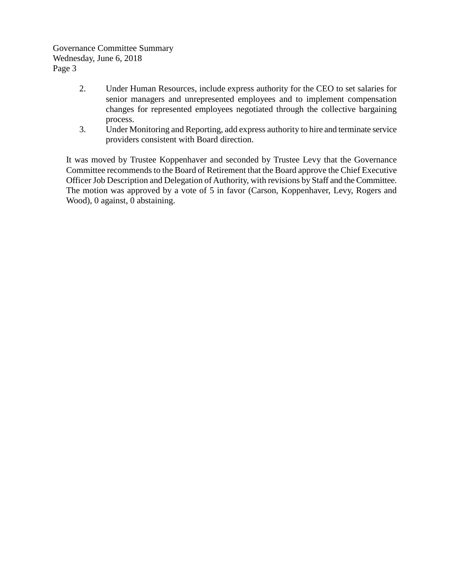Governance Committee Summary Wednesday, June 6, 2018 Page 3

- 2. Under Human Resources, include express authority for the CEO to set salaries for senior managers and unrepresented employees and to implement compensation changes for represented employees negotiated through the collective bargaining process.
- 3. Under Monitoring and Reporting, add express authority to hire and terminate service providers consistent with Board direction.

It was moved by Trustee Koppenhaver and seconded by Trustee Levy that the Governance Committee recommends to the Board of Retirement that the Board approve the Chief Executive Officer Job Description and Delegation of Authority, with revisions by Staff and the Committee. The motion was approved by a vote of 5 in favor (Carson, Koppenhaver, Levy, Rogers and Wood), 0 against, 0 abstaining.